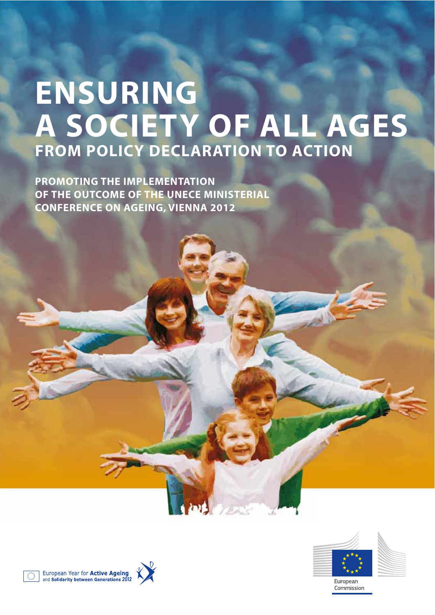# **ENSURING A SOCIETY OF ALL AGES FROM POLICY DECLARATION TO ACTION**

**PROMOTING THE IMPLEMENTATION OF THE OUTCOME OF THE UNECE MINISTERIAL CONFERENCE ON AGEING, VIENNA 2012**











Commission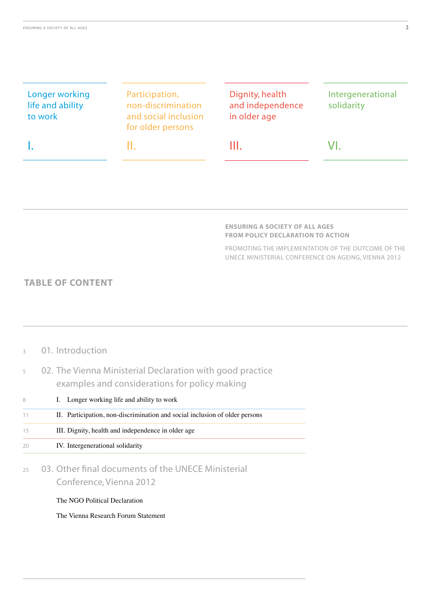| Longer working<br>life and ability<br>to work | Participation,<br>non-discrimination<br>and social inclusion<br>for older persons | Dignity, health<br>and independence<br>in older age | Intergenerational<br>solidarity |
|-----------------------------------------------|-----------------------------------------------------------------------------------|-----------------------------------------------------|---------------------------------|
|                                               | н                                                                                 | Ш                                                   | VI.                             |

#### **ENSURING A SOCIETY OF ALL AGES FROM POLICY DECLARATION TO ACTION**

PROMOTING THE IMPLEMENTATION OF THE OUTCOME OF THE UNECE MINISTERIAL CONFERENCE ON AGEING, VIENNA 2012

### **TABLE OF CONTENT**

| $\mathcal{L}$ | 01. Introduction                                                                                           |
|---------------|------------------------------------------------------------------------------------------------------------|
| 5             | 02. The Vienna Ministerial Declaration with good practice<br>examples and considerations for policy making |
| 8             | I. Longer working life and ability to work                                                                 |
| 11            | II. Participation, non-discrimination and social inclusion of older persons                                |
| 15            | III. Dignity, health and independence in older age                                                         |
| 20            | IV. Intergenerational solidarity                                                                           |
| 25            | 03. Other final documents of the UNECE Ministerial<br>Conference, Vienna 2012                              |
|               | The NGO Political Declaration                                                                              |
|               | The Vienna Research Forum Statement                                                                        |
|               |                                                                                                            |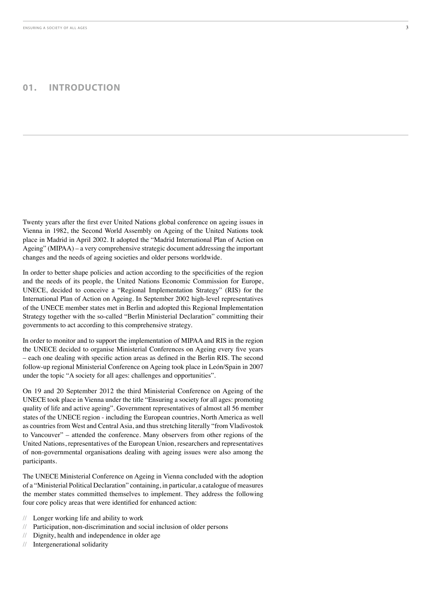### **01. INTRODUCTION**

Twenty years after the first ever United Nations global conference on ageing issues in Vienna in 1982, the Second World Assembly on Ageing of the United Nations took place in Madrid in April 2002. It adopted the "Madrid International Plan of Action on Ageing" (MIPAA) – a very comprehensive strategic document addressing the important changes and the needs of ageing societies and older persons worldwide.

In order to better shape policies and action according to the specificities of the region and the needs of its people, the United Nations Economic Commission for Europe, UNECE, decided to conceive a "Regional Implementation Strategy" (RIS) for the International Plan of Action on Ageing. In September 2002 high-level representatives of the UNECE member states met in Berlin and adopted this Regional Implementation Strategy together with the so-called "Berlin Ministerial Declaration" committing their governments to act according to this comprehensive strategy.

In order to monitor and to support the implementation of MIPAA and RIS in the region the UNECE decided to organise Ministerial Conferences on Ageing every five years – each one dealing with specific action areas as defined in the Berlin RIS. The second follow-up regional Ministerial Conference on Ageing took place in León/Spain in 2007 under the topic "A society for all ages: challenges and opportunities".

On 19 and 20 September 2012 the third Ministerial Conference on Ageing of the UNECE took place in Vienna under the title "Ensuring a society for all ages: promoting quality of life and active ageing". Government representatives of almost all 56 member states of the UNECE region - including the European countries, North America as well as countries from West and Central Asia, and thus stretching literally "from Vladivostok to Vancouver" – attended the conference. Many observers from other regions of the United Nations, representatives of the European Union, researchers and representatives of non-governmental organisations dealing with ageing issues were also among the participants.

The UNECE Ministerial Conference on Ageing in Vienna concluded with the adoption of a "Ministerial Political Declaration" containing, in particular, a catalogue of measures the member states committed themselves to implement. They address the following four core policy areas that were identified for enhanced action:

- Longer working life and ability to work
- Participation, non-discrimination and social inclusion of older persons
- Dignity, health and independence in older age
- // Intergenerational solidarity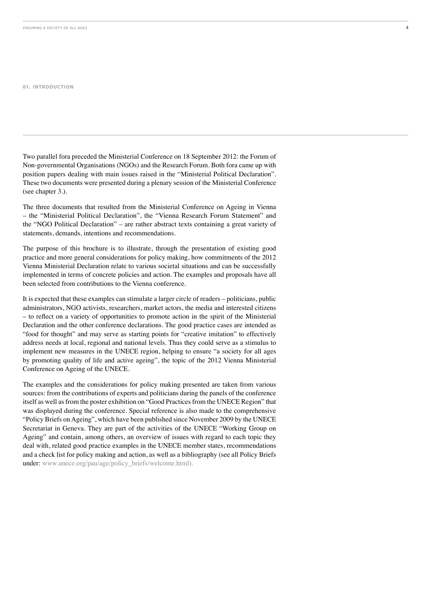#### **01. INTRODUCTION**

Two parallel fora preceded the Ministerial Conference on 18 September 2012: the Forum of Non-governmental Organisations (NGOs) and the Research Forum. Both for acame up with position papers dealing with main issues raised in the "Ministerial Political Declaration". These two documents were presented during a plenary session of the Ministerial Conference (see chapter 3.).

The three documents that resulted from the Ministerial Conference on Ageing in Vienna – the "Ministerial Political Declaration", the "Vienna Research Forum Statement" and the "NGO Political Declaration" – are rather abstract texts containing a great variety of statements, demands, intentions and recommendations.

The purpose of this brochure is to illustrate, through the presentation of existing good practice and more general considerations for policy making, how commitments of the 2012 Vienna Ministerial Declaration relate to various societal situations and can be successfully implemented in terms of concrete policies and action. The examples and proposals have all been selected from contributions to the Vienna conference.

It is expected that these examples can stimulate a larger circle of readers – politicians, public administrators, NGO activists, researchers, market actors, the media and interested citizens - to reflect on a variety of opportunities to promote action in the spirit of the Ministerial Declaration and the other conference declarations. The good practice cases are intended as "food for thought" and may serve as starting points for "creative imitation" to effectively address needs at local, regional and national levels. Thus they could serve as a stimulus to implement new measures in the UNECE region, helping to ensure "a society for all ages by promoting quality of life and active ageing", the topic of the 2012 Vienna Ministerial Conference on Ageing of the UNECE.

The examples and the considerations for policy making presented are taken from various sources: from the contributions of experts and politicians during the panels of the conference itself as well as from the poster exhibition on "Good Practices from the UNECE Region" that was displayed during the conference. Special reference is also made to the comprehensive "Policy Briefs on Ageing", which have been published since November 2009 by the UNECE Secretariat in Geneva. They are part of the activities of the UNECE "Working Group on Ageing" and contain, among others, an overview of issues with regard to each topic they deal with, related good practice examples in the UNECE member states, recommendations and a check list for policy making and action, as well as a bibliography (see all Policy Briefs under: www.unece.org/pau/age/policy\_briefs/welcome.html).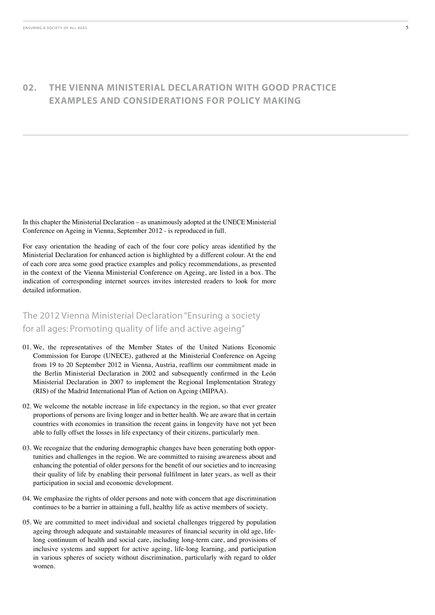In this chapter the Ministerial Declaration – as unanimously adopted at the UNECE Ministerial Conference on Ageing in Vienna, September 2012 - is reproduced in full.

For easy orientation the heading of each of the four core policy areas identified by the Ministerial Declaration for enhanced action is highlighted by a different colour. At the end of each core area some good practice examples and policy recommendations, as presented in the context of the Vienna Ministerial Conference on Ageing, are listed in a box. The indication of corresponding internet sources invites interested readers to look for more detailed information.

### The 2012 Vienna Ministerial Declaration "Ensuring a society for all ages: Promoting quality of life and active ageing"

- 01. We, the representatives of the Member States of the United Nations Economic Commission for Europe (UNECE), gathered at the Ministerial Conference on Ageing from 19 to 20 September 2012 in Vienna, Austria, reaffirm our commitment made in the Berlin Ministerial Declaration in 2002 and subsequently confirmed in the León Ministerial Declaration in 2007 to implement the Regional Implementation Strategy (RIS) of the Madrid International Plan of Action on Ageing (MIPAA).
- $02$ . We welcome the notable increase in life expectancy in the region, so that ever greater proportions of persons are living longer and in better health. We are aware that in certain countries with economies in transition the recent gains in longevity have not yet been able to fully offset the losses in life expectancy of their citizens, particularly men.
- 03. We recognize that the enduring demographic changes have been generating both opportunities and challenges in the region. We are committed to raising awareness about and enhancing the potential of older persons for the benefit of our societies and to increasing their quality of life by enabling their personal fulfilment in later years, as well as their participation in social and economic development.
- 04. We emphasize the rights of older persons and note with concern that age discrimination continues to be a barrier in attaining a full, healthy life as active members of society.
- 05. We are committed to meet individual and societal challenges triggered by population ageing through adequate and sustainable measures of financial security in old age, lifelong continuum of health and social care, including long-term care, and provisions of inclusive systems and support for active ageing, life-long learning, and participation in various spheres of society without discrimination, particularly with regard to older women.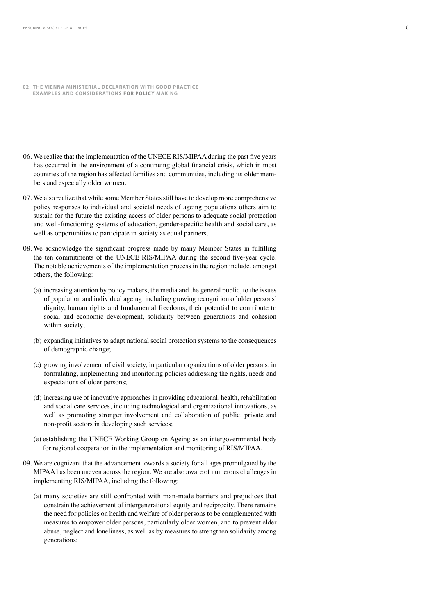- **02. THE VIENNA MINISTERIAL DECLARATION WITH GOOD PRACTICE EXAMPLES AND CONSIDERATIONS FOR POLICY MAKING**
- 06. We realize that the implementation of the UNECE RIS/MIPAA during the past five years has occurred in the environment of a continuing global financial crisis, which in most countries of the region has affected families and communities, including its older members and especially older women.
- 07. We also realize that while some Member States still have to develop more comprehensive policy responses to individual and societal needs of ageing populations others aim to sustain for the future the existing access of older persons to adequate social protection and well-functioning systems of education, gender-specific health and social care, as well as opportunities to participate in society as equal partners.
- 08. We acknowledge the significant progress made by many Member States in fulfilling the ten commitments of the UNECE RIS/MIPAA during the second five-year cycle. The notable achievements of the implementation process in the region include, amongst others, the following:
	- (a) increasing attention by policy makers, the media and the general public, to the issues of population and individual ageing, including growing recognition of older persons' dignity, human rights and fundamental freedoms, their potential to contribute to social and economic development, solidarity between generations and cohesion within society;
	- (b) expanding initiatives to adapt national social protection systems to the consequences of demographic change;
	- (c) growing involvement of civil society, in particular organizations of older persons, in formulating, implementing and monitoring policies addressing the rights, needs and expectations of older persons;
	- (d) increasing use of innovative approaches in providing educational, health, rehabilitation and social care services, including technological and organizational innovations, as well as promoting stronger involvement and collaboration of public, private and non-profit sectors in developing such services;
	- (e) establishing the UNECE Working Group on Ageing as an intergovernmental body for regional cooperation in the implementation and monitoring of RIS/MIPAA.
- 09. We are cognizant that the advancement towards a society for all ages promulgated by the MIPAA has been uneven across the region. We are also aware of numerous challenges in implementing RIS/MIPAA, including the following:
	- (a) many societies are still confronted with man-made barriers and prejudices that constrain the achievement of intergenerational equity and reciprocity. There remains the need for policies on health and welfare of older persons to be complemented with measures to empower older persons, particularly older women, and to prevent elder abuse, neglect and loneliness, as well as by measures to strengthen solidarity among generations;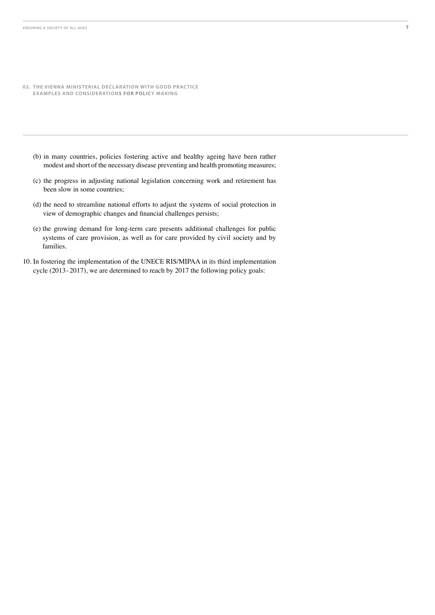- **02. THE VIENNA MINISTERIAL DECLARATION WITH GOOD PRACTICE EXAMPLES AND CONSIDERATIONS FOR POLICY MAKING**
	- (b) in many countries, policies fostering active and healthy ageing have been rather modest and short of the necessary disease preventing and health promoting measures;
	- (c) the progress in adjusting national legislation concerning work and retirement has been slow in some countries;
	- (d) the need to streamline national efforts to adjust the systems of social protection in view of demographic changes and financial challenges persists;
	- (e) the growing demand for long-term care presents additional challenges for public systems of care provision, as well as for care provided by civil society and by families.
- 10. In fostering the implementation of the UNECE RIS/MIPAA in its third implementation cycle (2013-2017), we are determined to reach by 2017 the following policy goals: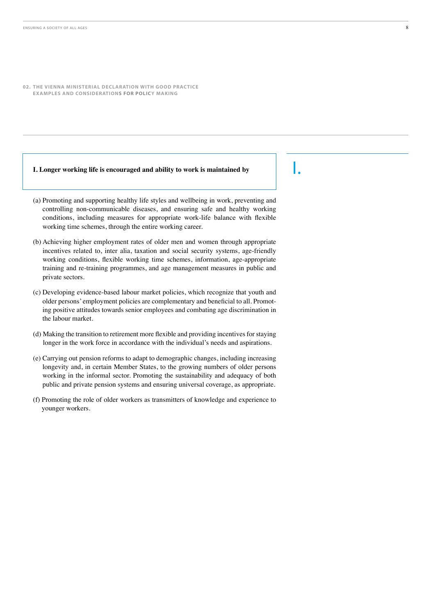#### **I. Longer working life is encouraged and ability to work is maintained by**

- (a) Promoting and supporting healthy life styles and wellbeing in work, preventing and controlling non-communicable diseases, and ensuring safe and healthy working conditions, including measures for appropriate work-life balance with flexible working time schemes, through the entire working career.
- (b) Achieving higher employment rates of older men and women through appropriate incentives related to, inter alia, taxation and social security systems, age-friendly working conditions, flexible working time schemes, information, age-appropriate training and re-training programmes, and age management measures in public and private sectors.
- (c) Developing evidence-based labour market policies, which recognize that youth and older persons' employment policies are complementary and beneficial to all. Promoting positive attitudes towards senior employees and combating age discrimination in the labour market.
- (d) Making the transition to retirement more flexible and providing incentives for staying longer in the work force in accordance with the individual's needs and aspirations.
- (e) Carrying out pension reforms to adapt to demographic changes, including increasing longevity and, in certain Member States, to the growing numbers of older persons working in the informal sector. Promoting the sustainability and adequacy of both public and private pension systems and ensuring universal coverage, as appropriate.
- (f) Promoting the role of older workers as transmitters of knowledge and experience to younger workers.

I.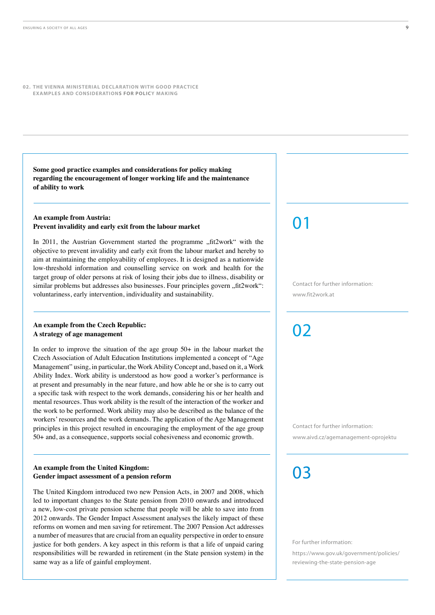**Some good practice examples and considerations for policy making regarding the encouragement of longer working life and the maintenance of ability to work**

#### **An example from Austria: Prevent invalidity and early exit from the labour market**

In 2011, the Austrian Government started the programme "fit2work" with the objective to prevent invalidity and early exit from the labour market and hereby to aim at maintaining the employability of employees. It is designed as a nationwide low-threshold information and counselling service on work and health for the target group of older persons at risk of losing their jobs due to illness, disability or similar problems but addresses also businesses. Four principles govern "fit2work": voluntariness, early intervention, individuality and sustainability.

#### **An example from the Czech Republic: A strategy of age management**

In order to improve the situation of the age group  $50+$  in the labour market the Czech Association of Adult Education Institutions implemented a concept of "Age Management" using, in particular, the Work Ability Concept and, based on it, a Work Ability Index. Work ability is understood as how good a worker's performance is at present and presumably in the near future, and how able he or she is to carry out a specific task with respect to the work demands, considering his or her health and mental resources. Thus work ability is the result of the interaction of the worker and the work to be performed. Work ability may also be described as the balance of the workers' resources and the work demands. The application of the Age Management principles in this project resulted in encouraging the employment of the age group 50+ and, as a consequence, supports social cohesiveness and economic growth.

#### **An example from the United Kingdom: Gender impact assessment of a pension reform**

The United Kingdom introduced two new Pension Acts, in 2007 and 2008, which led to important changes to the State pension from 2010 onwards and introduced a new, low-cost private pension scheme that people will be able to save into from 2012 onwards. The Gender Impact Assessment analyses the likely impact of these reforms on women and men saving for retirement. The 2007 Pension Act addresses a number of measures that are crucial from an equality perspective in order to ensure justice for both genders. A key aspect in this reform is that a life of unpaid caring responsibilities will be rewarded in retirement (in the State pension system) in the same way as a life of gainful employment.

### 01

Contact for further information: www.fit2work.at

02

Contact for further information:

www.aivd.cz/agemanagement-oprojektu

03

For further information:

[https://www.gov.uk/government/policies/](https://www.gov.uk/government/policies/reviewing-the-state-pension-age) [reviewing-the-state-pension-age](https://www.gov.uk/government/policies/reviewing-the-state-pension-age)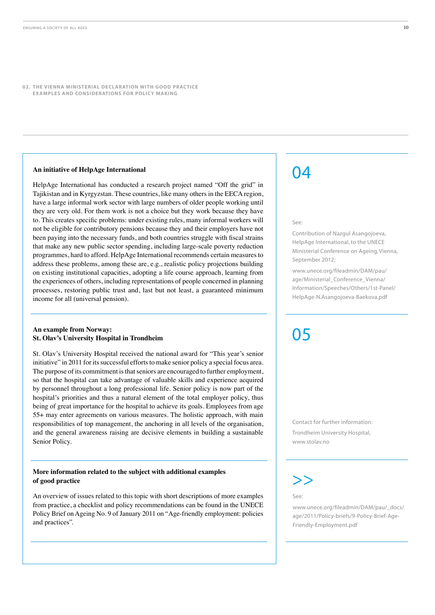#### **An initiative of HelpAge International**

HelpAge International has conducted a research project named "Off the grid" in Tajikistan and in Kyrgyzstan. These countries, like many others in the EECA region, have a large informal work sector with large numbers of older people working until they are very old. For them work is not a choice but they work because they have to. This creates specific problems: under existing rules, many informal workers will not be eligible for contributory pensions because they and their employers have not been paying into the necessary funds, and both countries struggle with fiscal strains that make any new public sector spending, including large-scale poverty reduction programmes, hard to afford. HelpAge International recommends certain measures to address these problems, among these are, e.g., realistic policy projections building on existing institutional capacities, adopting a life course approach, learning from the experiences of others, including representations of people concerned in planning processes, restoring public trust and, last but not least, a guaranteed minimum income for all (universal pension).

#### **An example from Norway: St. Olav's University Hospital in Trondheim**

St. Olav's University Hospital received the national award for "This year's senior initiative" in 2011 for its successful efforts to make senior policy a special focus area. The purpose of its commitment is that seniors are encouraged to further employment, so that the hospital can take advantage of valuable skills and experience acquired by personnel throughout a long professional life. Senior policy is now part of the hospital's priorities and thus a natural element of the total employer policy, thus being of great importance for the hospital to achieve its goals. Employees from age 55+ may enter agreements on various measures. The holistic approach, with main responsibilities of top management, the anchoring in all levels of the organisation, and the general awareness raising are decisive elements in building a sustainable Senior Policy.

#### **More information related to the subject with additional examples of good practice**

An overview of issues related to this topic with short descriptions of more examples from practice, a checklist and policy recommendations can be found in the UNECE Policy Brief on Ageing No. 9 of January 2011 on "Age-friendly employment: policies and practices".

### 04

#### $S_{\rho\rho}$

Contribution of Nazgul Asangojoeva, HelpAge International, to the UNECE Ministerial Conference on Ageing, Vienna, September 2012;

[www.unece.org/fileadmin/DAM/pau/](www.unece.org/fileadmin/DAM/pau/age/Ministerial_Conference_Vienna/Information/Speeches/Others/1st-Panel/HelpAge-N.Asangojoeva-Baekova.pdf) [age/Ministerial\\_Conference\\_Vienna/](www.unece.org/fileadmin/DAM/pau/age/Ministerial_Conference_Vienna/Information/Speeches/Others/1st-Panel/HelpAge-N.Asangojoeva-Baekova.pdf) [Information/Speeches/Others/1st-Panel/](www.unece.org/fileadmin/DAM/pau/age/Ministerial_Conference_Vienna/Information/Speeches/Others/1st-Panel/HelpAge-N.Asangojoeva-Baekova.pdf) [HelpAge-N.Asangojoeva-Baekova.pdf](www.unece.org/fileadmin/DAM/pau/age/Ministerial_Conference_Vienna/Information/Speeches/Others/1st-Panel/HelpAge-N.Asangojoeva-Baekova.pdf)

# 05

Contact for further information: Trondheim University Hospital, www.stolav.no

### >>

See:

[www.unece.org/fileadmin/DAM/pau/\\_docs/](www.unece.org/fileadmin/DAM/pau/_docs/age/2011/Policy-briefs/9-Policy-Brief-Age-Friendly-Employment.pdf) [age/2011/Policy-briefs/9-Policy-Brief-Age-](www.unece.org/fileadmin/DAM/pau/_docs/age/2011/Policy-briefs/9-Policy-Brief-Age-Friendly-Employment.pdf)[Friendly-Employment.pdf](www.unece.org/fileadmin/DAM/pau/_docs/age/2011/Policy-briefs/9-Policy-Brief-Age-Friendly-Employment.pdf)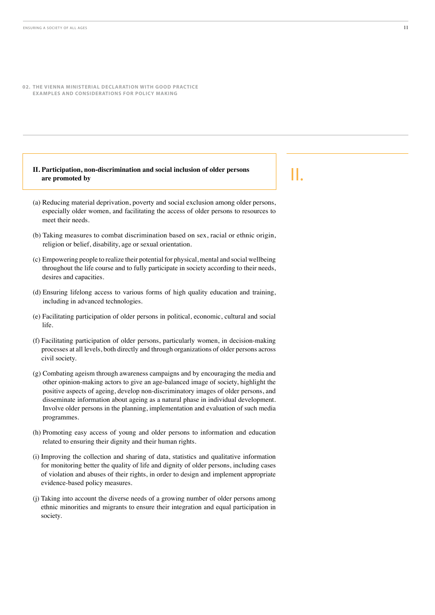#### **II. Participation, non-discrimination and social inclusion of older persons are promoted by**

- (a) Reducing material deprivation, poverty and social exclusion among older persons, especially older women, and facilitating the access of older persons to resources to meet their needs.
- (b) Taking measures to combat discrimination based on sex, racial or ethnic origin, religion or belief, disability, age or sexual orientation.
- (c) Empowering people to realize their potential for physical, mental and social wellbeing throughout the life course and to fully participate in society according to their needs, desires and capacities.
- (d) Ensuring lifelong access to various forms of high quality education and training, including in advanced technologies.
- (e) Facilitating participation of older persons in political, economic, cultural and social life.
- (f) Facilitating participation of older persons, particularly women, in decision-making processes at all levels, both directly and through organizations of older persons across civil society.
- $(g)$  Combating ageism through awareness campaigns and by encouraging the media and other opinion-making actors to give an age-balanced image of society, highlight the positive aspects of ageing, develop non-discriminatory images of older persons, and disseminate information about ageing as a natural phase in individual development. Involve older persons in the planning, implementation and evaluation of such media programmes.
- (h) Promoting easy access of young and older persons to information and education related to ensuring their dignity and their human rights.
- (i) Improving the collection and sharing of data, statistics and qualitative information for monitoring better the quality of life and dignity of older persons, including cases of violation and abuses of their rights, in order to design and implement appropriate evidence-based policy measures.
- (i) Taking into account the diverse needs of a growing number of older persons among ethnic minorities and migrants to ensure their integration and equal participation in society.

II.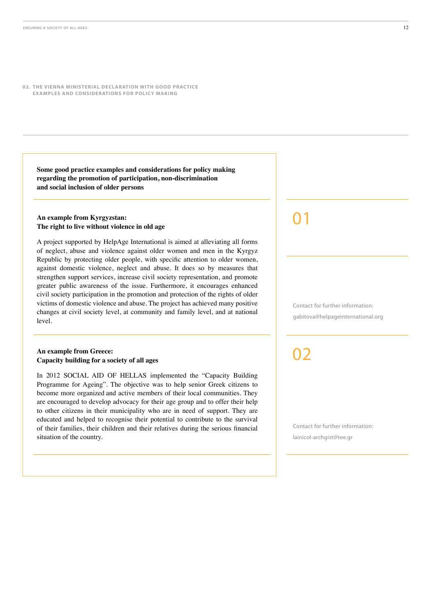**Some good practice examples and considerations for policy making regarding the promotion of participation, non-discrimination and social inclusion of older persons**

#### **An example from Kyrgyzstan: The right to live without violence in old age**

A project supported by HelpAge International is aimed at alleviating all forms of neglect, abuse and violence against older women and men in the Kyrgyz Republic by protecting older people, with specific attention to older women, against domestic violence, neglect and abuse. It does so by measures that strengthen support services, increase civil society representation, and promote greater public awareness of the issue. Furthermore, it encourages enhanced civil society participation in the promotion and protection of the rights of older victims of domestic violence and abuse. The project has achieved many positive changes at civil society level, at community and family level, and at national level.

#### **An example from Greece: Capacity building for a society of all ages**

In 2012 SOCIAL AID OF HELLAS implemented the "Capacity Building Programme for Ageing". The objective was to help senior Greek citizens to become more organized and active members of their local communities. They are encouraged to develop advocacy for their age group and to offer their help to other citizens in their municipality who are in need of support. They are educated and helped to recognise their potential to contribute to the survival of their families, their children and their relatives during the serious financial situation of the country.

01

Contact for further information: gabitova@helpageinternational.org

02

Contact for further information: lainicol-archgist@tee.gr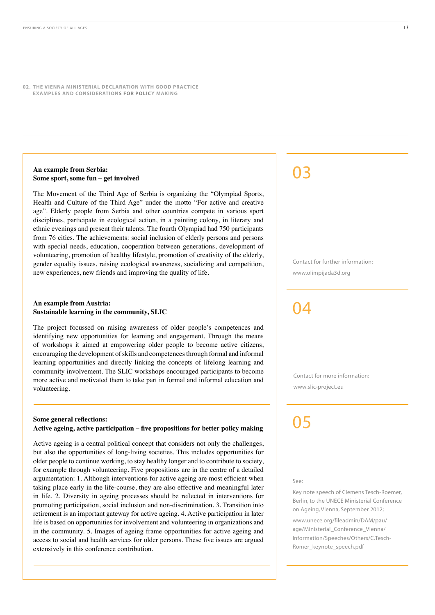#### **An example from Serbia: Some sport, some fun – get involved**

The Movement of the Third Age of Serbia is organizing the "Olympiad Sports, Health and Culture of the Third Age" under the motto "For active and creative age". Elderly people from Serbia and other countries compete in various sport disciplines, participate in ecological action, in a painting colony, in literary and ethnic evenings and present their talents. The fourth Olympiad had 750 participants from 76 cities. The achievements: social inclusion of elderly persons and persons with special needs, education, cooperation between generations, development of volunteering, promotion of healthy lifestyle, promotion of creativity of the elderly, gender equality issues, raising ecological awareness, socializing and competition, new experiences, new friends and improving the quality of life.

#### **An example from Austria: Sustainable learning in the community, SLIC**

The project focussed on raising awareness of older people's competences and identifying new opportunities for learning and engagement. Through the means of workshops it aimed at empowering older people to become active citizens, encouraging the development of skills and competences through formal and informal learning opportunities and directly linking the concepts of lifelong learning and community involvement. The SLIC workshops encouraged participants to become more active and motivated them to take part in formal and informal education and volunteering.

#### **Some general reflections:** Active ageing, active participation - five propositions for better policy making

Active ageing is a central political concept that considers not only the challenges, but also the opportunities of long-living societies. This includes opportunities for older people to continue working, to stay healthy longer and to contribute to society, for example through volunteering. Five propositions are in the centre of a detailed argumentation: 1. Although interventions for active ageing are most efficient when taking place early in the life-course, they are also effective and meaningful later in life. 2. Diversity in ageing processes should be reflected in interventions for promoting participation, social inclusion and non-discrimination. 3. Transition into retirement is an important gateway for active ageing. 4. Active participation in later life is based on opportunities for involvement and volunteering in organizations and in the community. 5. Images of ageing frame opportunities for active ageing and access to social and health services for older persons. These five issues are argued extensively in this conference contribution.

### 03

Contact for further information: www.olimpijada3d.org

### $\mathsf{\Omega} \mathbf{\Lambda}$

Contact for more information: www.slic-project.eu

# 05

#### See:

Key note speech of Clemens Tesch-Roemer, Berlin, to the UNECE Ministerial Conference on Ageing, Vienna, September 2012;

[www.unece.org/fileadmin/DAM/pau/](www.unece.org/fileadmin/DAM/pau/age/Ministerial_Conference_Vienna/Information/Speeches/Others/C.Tesch-Romer_keynote_speech.pdf) [age/Ministerial\\_Conference\\_Vienna/](www.unece.org/fileadmin/DAM/pau/age/Ministerial_Conference_Vienna/Information/Speeches/Others/C.Tesch-Romer_keynote_speech.pdf) [Information/Speeches/Others/C.Tesch-](www.unece.org/fileadmin/DAM/pau/age/Ministerial_Conference_Vienna/Information/Speeches/Others/C.Tesch-Romer_keynote_speech.pdf)[Romer\\_keynote\\_speech.pdf](www.unece.org/fileadmin/DAM/pau/age/Ministerial_Conference_Vienna/Information/Speeches/Others/C.Tesch-Romer_keynote_speech.pdf)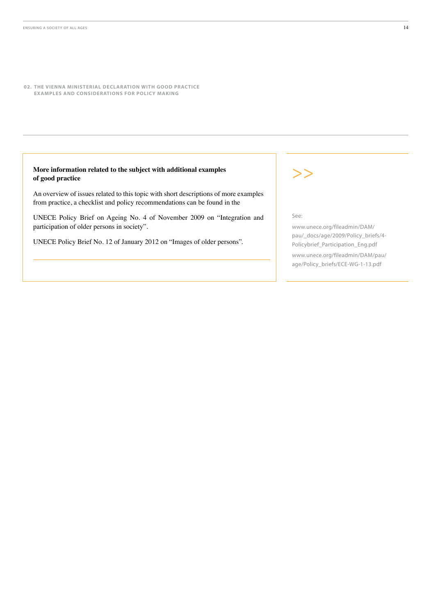#### **More information related to the subject with additional examples of good practice**

An overview of issues related to this topic with short descriptions of more examples from practice, a checklist and policy recommendations can be found in the

UNECE Policy Brief on Ageing No. 4 of November 2009 on "Integration and participation of older persons in society".

UNECE Policy Brief No. 12 of January 2012 on "Images of older persons".

>>

 $S_{\rho\rho}$ 

[www.unece.org/fileadmin/DAM/](www.unece.org/fileadmin/DAM/pau/_docs/age/2009/Policy_briefs/4-Policybrief_Participation_Eng.pdf) [pau/\\_docs/age/2009/Policy\\_briefs/4-](www.unece.org/fileadmin/DAM/pau/_docs/age/2009/Policy_briefs/4-Policybrief_Participation_Eng.pdf) [Policybrief\\_Participation\\_Eng.pdf](www.unece.org/fileadmin/DAM/pau/_docs/age/2009/Policy_briefs/4-Policybrief_Participation_Eng.pdf)

[www.unece.org/fileadmin/DAM/pau/](www.unece.org/fileadmin/DAM/pau/age/Policy_briefs/ECE-WG-1-13.pdf) [age/Policy\\_briefs/ECE-WG-1-13.pdf](www.unece.org/fileadmin/DAM/pau/age/Policy_briefs/ECE-WG-1-13.pdf)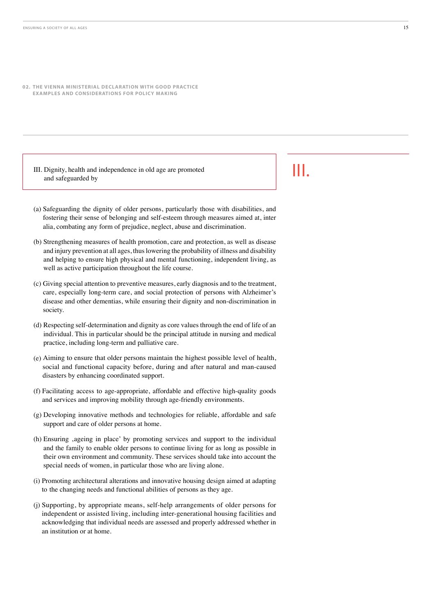III. Dignity, health and independence in old age are promoted and safeguarded by

- III.
- (a) Safeguarding the dignity of older persons, particularly those with disabilities, and fostering their sense of belonging and self-esteem through measures aimed at, inter alia, combating any form of prejudice, neglect, abuse and discrimination.
- (b) Strengthening measures of health promotion, care and protection, as well as disease and injury prevention at all ages, thus lowering the probability of illness and disability and helping to ensure high physical and mental functioning, independent living, as well as active participation throughout the life course.
- (c) Giving special attention to preventive measures, early diagnosis and to the treatment, care, especially long-term care, and social protection of persons with Alzheimer's disease and other dementias, while ensuring their dignity and non-discrimination in society.
- (d) Respecting self-determination and dignity as core values through the end of life of an individual. This in particular should be the principal attitude in nursing and medical practice, including long-term and palliative care.
- (e) Aiming to ensure that older persons maintain the highest possible level of health, social and functional capacity before, during and after natural and man-caused disasters by enhancing coordinated support.
- (f) Facilitating access to age-appropriate, affordable and effective high-quality goods and services and improving mobility through age-friendly environments.
- $(g)$  Developing innovative methods and technologies for reliable, affordable and safe support and care of older persons at home.
- (h) Ensuring ,ageing in place' by promoting services and support to the individual and the family to enable older persons to continue living for as long as possible in their own environment and community. These services should take into account the special needs of women, in particular those who are living alone.
- (i) Promoting architectural alterations and innovative housing design aimed at adapting to the changing needs and functional abilities of persons as they age.
- (j) Supporting, by appropriate means, self-help arrangements of older persons for independent or assisted living, including inter-generational housing facilities and acknowledging that individual needs are assessed and properly addressed whether in an institution or at home.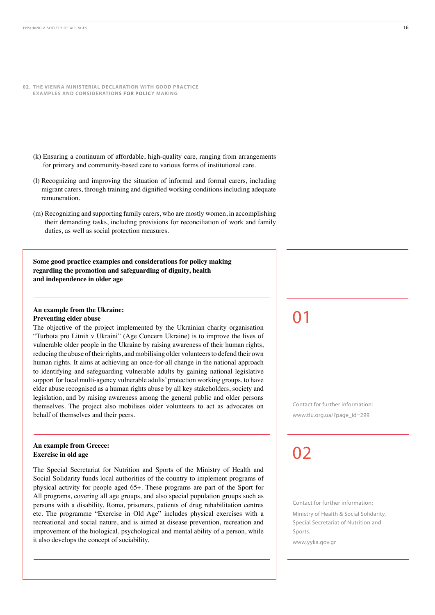- **02. THE VIENNA MINISTERIAL DECLARATION WITH GOOD PRACTICE EXAMPLES AND CONSIDERATIONS FOR POLICY MAKING**
	- (k) Ensuring a continuum of affordable, high-quality care, ranging from arrangements for primary and community-based care to various forms of institutional care.
	- (I) Recognizing and improving the situation of informal and formal carers, including migrant carers, through training and dignified working conditions including adequate remuneration.
	- $(m)$  Recognizing and supporting family carers, who are mostly women, in accomplishing their demanding tasks, including provisions for reconciliation of work and family duties, as well as social protection measures.

**Some good practice examples and considerations for policy making regarding the promotion and safeguarding of dignity, health and independence in older age**

#### **An example from the Ukraine: Preventing elder abuse**

The objective of the project implemented by the Ukrainian charity organisation "Turbota pro Litnih v Ukraini" (Age Concern Ukraine) is to improve the lives of vulnerable older people in the Ukraine by raising awareness of their human rights, reducing the abuse of their rights, and mobilising older volunteers to defend their own human rights. It aims at achieving an once-for-all change in the national approach to identifying and safeguarding vulnerable adults by gaining national legislative support for local multi-agency vulnerable adults' protection working groups, to have elder abuse recognised as a human rights abuse by all key stakeholders, society and legislation, and by raising awareness among the general public and older persons themselves. The project also mobilises older volunteers to act as advocates on behalf of themselves and their peers.

#### **An example from Greece: Exercise in old age**

The Special Secretariat for Nutrition and Sports of the Ministry of Health and Social Solidarity funds local authorities of the country to implement programs of physical activity for people aged 65+. These programs are part of the Sport for All programs, covering all age groups, and also special population groups such as persons with a disability, Roma, prisoners, patients of drug rehabilitation centres etc. The programme "Exercise in Old Age" includes physical exercises with a recreational and social nature, and is aimed at disease prevention, recreation and improvement of the biological, psychological and mental ability of a person, while it also develops the concept of sociability.

01

Contact for further information: www.tlu.org.ua/?page\_id=299

# 02

Contact for further information:

Ministry of Health & Social Solidarity, Special Secretariat of Nutrition and Sports.

www.yyka.gov.gr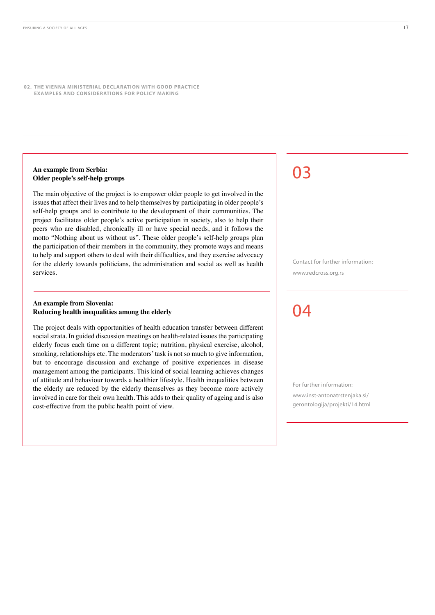#### **An example from Serbia: Older people's self-help groups**

The main objective of the project is to empower older people to get involved in the issues that affect their lives and to help themselves by participating in older people's self-help groups and to contribute to the development of their communities. The project facilitates older people's active participation in society, also to help their peers who are disabled, chronically ill or have special needs, and it follows the motto "Nothing about us without us". These older people's self-help groups plan the participation of their members in the community, they promote ways and means to help and support others to deal with their difficulties, and they exercise advocacy for the elderly towards politicians, the administration and social as well as health services.

#### **An example from Slovenia: Reducing health inequalities among the elderly**

The project deals with opportunities of health education transfer between different social strata. In guided discussion meetings on health-related issues the participating elderly focus each time on a different topic; nutrition, physical exercise, alcohol, smoking, relationships etc. The moderators' task is not so much to give information, but to encourage discussion and exchange of positive experiences in disease management among the participants. This kind of social learning achieves changes of attitude and behaviour towards a healthier lifestyle. Health inequalities between the elderly are reduced by the elderly themselves as they become more actively involved in care for their own health. This adds to their quality of ageing and is also cost-effective from the public health point of view.

03

Contact for further information: www.redcross.org.rs

### 04

For further information:

[www.inst-antonatrstenjaka.si/](http://www.inst-antonatrstenjaka.si/gerontologija/projekti/14.html) [gerontologija/projekti/14.html](http://www.inst-antonatrstenjaka.si/gerontologija/projekti/14.html)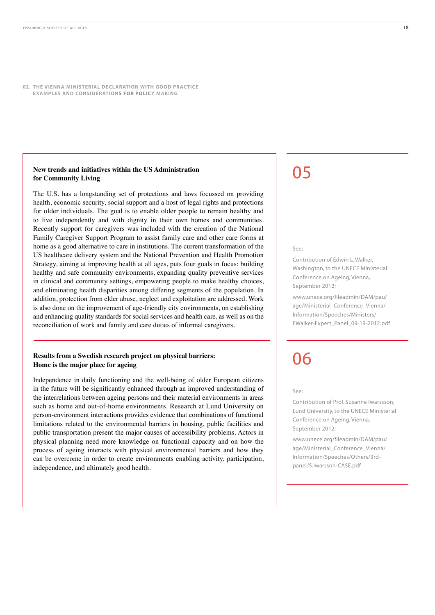#### **New trends and initiatives within the US Administration for Community Living**

The U.S. has a longstanding set of protections and laws focussed on providing health, economic security, social support and a host of legal rights and protections for older individuals. The goal is to enable older people to remain healthy and to live independently and with dignity in their own homes and communities. Recently support for caregivers was included with the creation of the National Family Caregiver Support Program to assist family care and other care forms at home as a good alternative to care in institutions. The current transformation of the US healthcare delivery system and the National Prevention and Health Promotion Strategy, aiming at improving health at all ages, puts four goals in focus: building healthy and safe community environments, expanding quality preventive services in clinical and community settings, empowering people to make healthy choices, and eliminating health disparities among differing segments of the population. In addition, protection from elder abuse, neglect and exploitation are addressed. Work is also done on the improvement of age-friendly city environments, on establishing and enhancing quality standards for social services and health care, as well as on the reconciliation of work and family and care duties of informal caregivers.

#### **Results from a Swedish research project on physical barriers: Home is the major place for ageing**

Independence in daily functioning and the well-being of older European citizens in the future will be significantly enhanced through an improved understanding of the interrelations between ageing persons and their material environments in areas such as home and out-of-home environments. Research at Lund University on person-environment interactions provides evidence that combinations of functional limitations related to the environmental barriers in housing, public facilities and public transportation present the major causes of accessibility problems. Actors in physical planning need more knowledge on functional capacity and on how the process of ageing interacts with physical environmental barriers and how they can be overcome in order to create environments enabling activity, participation, independence, and ultimately good health.

### 05

#### See:

Contribution of Edwin L. Walker, Washington, to the UNECE Ministerial Conference on Ageing, Vienna, September 2012;

[www.unece.org/fileadmin/DAM/pau/](www.unece.org/fileadmin/DAM/pau/age/Ministerial_Conference_Vienna/Information/Speeches/Ministers/EWalker-Expert_Panel_09-19-2012.pdf) [age/Ministerial\\_Conference\\_Vienna/](www.unece.org/fileadmin/DAM/pau/age/Ministerial_Conference_Vienna/Information/Speeches/Ministers/EWalker-Expert_Panel_09-19-2012.pdf) [Information/Speeches/Ministers/](www.unece.org/fileadmin/DAM/pau/age/Ministerial_Conference_Vienna/Information/Speeches/Ministers/EWalker-Expert_Panel_09-19-2012.pdf) [EWalker-Expert\\_Panel\\_09-19-2012.pdf](www.unece.org/fileadmin/DAM/pau/age/Ministerial_Conference_Vienna/Information/Speeches/Ministers/EWalker-Expert_Panel_09-19-2012.pdf)

# 06

See:

Contribution of Prof. Susanne Iwarssson, Lund University, to the UNECE Ministerial Conference on Ageing, Vienna, September 2012;

[www.unece.org/fileadmin/DAM/pau/](www.unece.org/fileadmin/DAM/pau/age/Ministerial_Conference_Vienna/Information/Speeches/Others/3rd-panel/S.Iwarsson-CASE.pdf) [age/Ministerial\\_Conference\\_Vienna/](www.unece.org/fileadmin/DAM/pau/age/Ministerial_Conference_Vienna/Information/Speeches/Others/3rd-panel/S.Iwarsson-CASE.pdf) [Information/Speeches/Others/3rd](www.unece.org/fileadmin/DAM/pau/age/Ministerial_Conference_Vienna/Information/Speeches/Others/3rd-panel/S.Iwarsson-CASE.pdf)[panel/S.Iwarsson-CASE.pdf](www.unece.org/fileadmin/DAM/pau/age/Ministerial_Conference_Vienna/Information/Speeches/Others/3rd-panel/S.Iwarsson-CASE.pdf)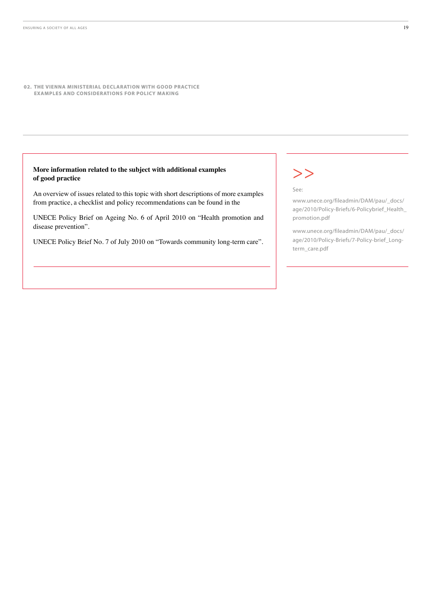#### **More information related to the subject with additional examples of good practice**

An overview of issues related to this topic with short descriptions of more examples from practice, a checklist and policy recommendations can be found in the

UNECE Policy Brief on Ageing No. 6 of April 2010 on "Health promotion and disease prevention".

UNECE Policy Brief No. 7 of July 2010 on "Towards community long-term care".

### $>>$

See:

[www.unece.org/fileadmin/DAM/pau/\\_docs/](www.unece.org/fileadmin/DAM/pau/_docs/age/2010/Policy-Briefs/6-Policybrief_Health_promotion.pdf) [age/2010/Policy-Briefs/6-Policybrief\\_Health\\_](www.unece.org/fileadmin/DAM/pau/_docs/age/2010/Policy-Briefs/6-Policybrief_Health_promotion.pdf) [promotion.pdf](www.unece.org/fileadmin/DAM/pau/_docs/age/2010/Policy-Briefs/6-Policybrief_Health_promotion.pdf)

[www.unece.org/fileadmin/DAM/pau/\\_docs/](www.unece.org/fileadmin/DAM/pau/_docs/age/2010/Policy-Briefs/7-Policy-brief_Long-term_care.pdf) [age/2010/Policy-Briefs/7-Policy-brief\\_Long](www.unece.org/fileadmin/DAM/pau/_docs/age/2010/Policy-Briefs/7-Policy-brief_Long-term_care.pdf)[term\\_care.pdf](www.unece.org/fileadmin/DAM/pau/_docs/age/2010/Policy-Briefs/7-Policy-brief_Long-term_care.pdf)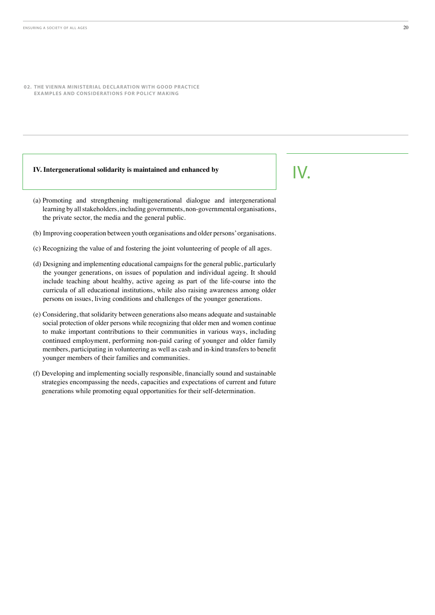#### **IV. Intergenerational solidarity is maintained and enhanced by**

- (a) Promoting and strengthening multigenerational dialogue and intergenerational learning by all stakeholders, including governments, non-governmental organisations, the private sector, the media and the general public.
- (b) Improving cooperation between youth organisations and older persons' organisations.
- (c) Recognizing the value of and fostering the joint volunteering of people of all ages.
- (d) Designing and implementing educational campaigns for the general public, particularly the younger generations, on issues of population and individual ageing. It should include teaching about healthy, active ageing as part of the life-course into the curricula of all educational institutions, while also raising awareness among older persons on issues, living conditions and challenges of the younger generations.
- (e) Considering, that solidarity between generations also means adequate and sustainable social protection of older persons while recognizing that older men and women continue to make important contributions to their communities in various ways, including continued employment, performing non-paid caring of younger and older family members, participating in volunteering as well as cash and in-kind transfers to benefit younger members of their families and communities.
- (f) Developing and implementing socially responsible, financially sound and sustainable strategies encompassing the needs, capacities and expectations of current and future generations while promoting equal opportunities for their self-determination.

### IV.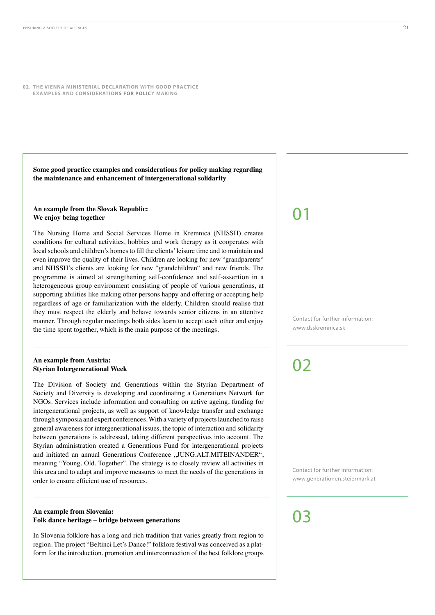**Some good practice examples and considerations for policy making regarding the maintenance and enhancement of intergenerational solidarity**

#### **An example from the Slovak Republic: We enjoy being together**

The Nursing Home and Social Services Home in Kremnica (NHSSH) creates conditions for cultural activities, hobbies and work therapy as it cooperates with local schools and children's homes to fill the clients' leisure time and to maintain and even improve the quality of their lives. Children are looking for new "grandparents" and NHSSH's clients are looking for new "grandchildren" and new friends. The programme is aimed at strengthening self-confidence and self-assertion in a heterogeneous group environment consisting of people of various generations, at supporting abilities like making other persons happy and offering or accepting help regardless of age or familiarization with the elderly. Children should realise that they must respect the elderly and behave towards senior citizens in an attentive manner. Through regular meetings both sides learn to accept each other and enjoy the time spent together, which is the main purpose of the meetings.

#### **An example from Austria: Styrian Intergenerational Week**

The Division of Society and Generations within the Styrian Department of Society and Diversity is developing and coordinating a Generations Network for NGOs. Services include information and consulting on active ageing, funding for intergenerational projects, as well as support of knowledge transfer and exchange through symposia and expert conferences. With a variety of projects launched to raise general awareness for intergenerational issues, the topic of interaction and solidarity between generations is addressed, taking different perspectives into account. The Styrian administration created a Generations Fund for intergenerational projects and initiated an annual Generations Conference "JUNG.ALT.MITEINANDER", meaning "Young. Old. Together". The strategy is to closely review all activities in this area and to adapt and improve measures to meet the needs of the generations in order to ensure efficient use of resources.

#### **An example from Slovenia: Folk dance heritage – bridge between generations**

In Slovenia folklore has a long and rich tradition that varies greatly from region to region. The project "Beltinci Let's Dance!" folklore festival was conceived as a platform for the introduction, promotion and interconnection of the best folklore groups

# 01

Contact for further information: www.dsskremnica.sk

### 02

Contact for further information: www.generationen.steiermark.at

# በ3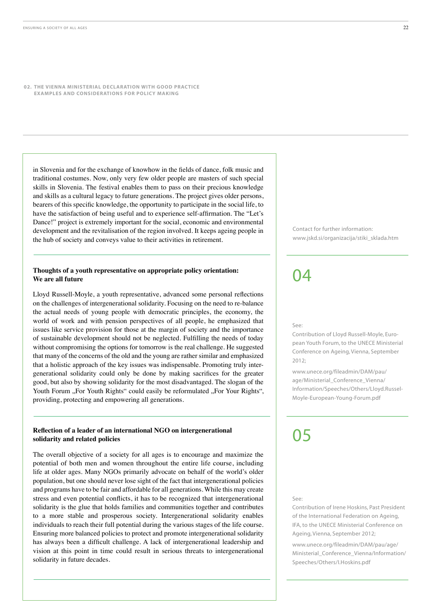in Slovenia and for the exchange of knowhow in the fields of dance, folk music and traditional costumes. Now, only very few older people are masters of such special skills in Slovenia. The festival enables them to pass on their precious knowledge and skills as a cultural legacy to future generations. The project gives older persons, bearers of this specific knowledge, the opportunity to participate in the social life, to have the satisfaction of being useful and to experience self-affirmation. The "Let's Dance!" project is extremely important for the social, economic and environmental development and the revitalisation of the region involved. It keeps ageing people in the hub of society and conveys value to their activities in retirement.

#### **Thoughts of a youth representative on appropriate policy orientation: We are all future**

Lloyd Russell-Moyle, a youth representative, advanced some personal reflections on the challenges of intergenerational solidarity. Focusing on the need to re-balance the actual needs of young people with democratic principles, the economy, the world of work and with pension perspectives of all people, he emphasized that issues like service provision for those at the margin of society and the importance of sustainable development should not be neglected. Fulfilling the needs of today without compromising the options for tomorrow is the real challenge. He suggested that many of the concerns of the old and the young are rather similar and emphasized that a holistic approach of the key issues was indispensable. Promoting truly intergenerational solidarity could only be done by making sacrifices for the greater good, but also by showing solidarity for the most disadvantaged. The slogan of the Youth Forum "For Youth Rights" could easily be reformulated "For Your Rights", providing, protecting and empowering all generations.

#### **Reflection of a leader of an international NGO on intergenerational solidarity and related policies**

The overall objective of a society for all ages is to encourage and maximize the potential of both men and women throughout the entire life course, including life at older ages. Many NGOs primarily advocate on behalf of the world's older population, but one should never lose sight of the fact that intergenerational policies and programs have to be fair and affordable for all generations. While this may create stress and even potential conflicts, it has to be recognized that intergenerational solidarity is the glue that holds families and communities together and contributes to a more stable and prosperous society. Intergenerational solidarity enables individuals to reach their full potential during the various stages of the life course. Ensuring more balanced policies to protect and promote intergenerational solidarity has always been a difficult challenge. A lack of intergenerational leadership and vision at this point in time could result in serious threats to intergenerational solidarity in future decades.

Contact for further information: www.jskd.si/organizacija/stiki\_sklada.htm

### $\mathsf{D} \mathsf{\Delta}$

See:

Contribution of Lloyd Russell-Moyle, European Youth Forum, to the UNECE Ministerial Conference on Ageing, Vienna, September 2012;

[www.unece.org/fileadmin/DAM/pau/](www.unece.org/fileadmin/DAM/pau/age/Ministerial_Conference_Vienna/Information/Speeches/Others/Lloyd.Russel-Moyle-European-Young-Forum.pdf) [age/Ministerial\\_Conference\\_Vienna/](www.unece.org/fileadmin/DAM/pau/age/Ministerial_Conference_Vienna/Information/Speeches/Others/Lloyd.Russel-Moyle-European-Young-Forum.pdf) [Information/Speeches/Others/Lloyd.Russel-](www.unece.org/fileadmin/DAM/pau/age/Ministerial_Conference_Vienna/Information/Speeches/Others/Lloyd.Russel-Moyle-European-Young-Forum.pdf)[Moyle-European-Young-Forum.pdf](www.unece.org/fileadmin/DAM/pau/age/Ministerial_Conference_Vienna/Information/Speeches/Others/Lloyd.Russel-Moyle-European-Young-Forum.pdf)

### 05

#### $S_{\rho\rho}$

Contribution of Irene Hoskins, Past President of the International Federation on Ageing, IFA, to the UNECE Ministerial Conference on Ageing, Vienna, September 2012;

[www.unece.org/fileadmin/DAM/pau/age/](www.unece.org/fileadmin/DAM/pau/age/Ministerial_Conference_Vienna/Information/Speeches/Others/I.Hoskins.pdf) [Ministerial\\_Conference\\_Vienna/Information/](www.unece.org/fileadmin/DAM/pau/age/Ministerial_Conference_Vienna/Information/Speeches/Others/I.Hoskins.pdf) [Speeches/Others/I.Hoskins.pdf](www.unece.org/fileadmin/DAM/pau/age/Ministerial_Conference_Vienna/Information/Speeches/Others/I.Hoskins.pdf)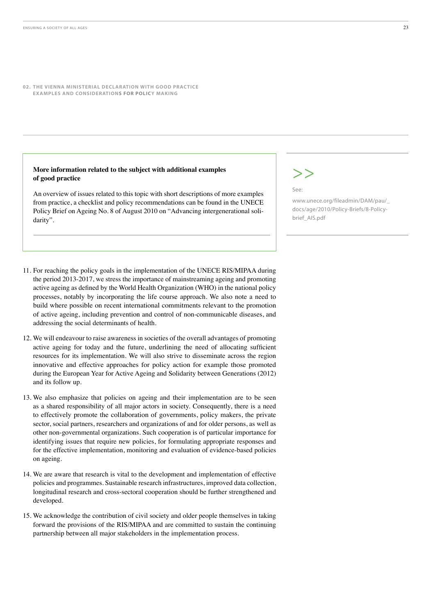#### **More information related to the subject with additional examples of good practice**

An overview of issues related to this topic with short descriptions of more examples from practice, a checklist and policy recommendations can be found in the UNECE Policy Brief on Ageing No. 8 of August 2010 on "Advancing intergenerational solidarity".

# >>

See:

[www.unece.org/fileadmin/DAM/pau/\\_](www.unece.org/fileadmin/DAM/pau/_docs/age/2010/Policy-Briefs/8-Policy-brief_AIS.pdf) [docs/age/2010/Policy-Briefs/8-Policy](www.unece.org/fileadmin/DAM/pau/_docs/age/2010/Policy-Briefs/8-Policy-brief_AIS.pdf)[brief\\_AIS.pdf](www.unece.org/fileadmin/DAM/pau/_docs/age/2010/Policy-Briefs/8-Policy-brief_AIS.pdf)

- 11. For reaching the policy goals in the implementation of the UNECE RIS/MIPAA during the period 2013-2017, we stress the importance of mainstreaming ageing and promoting active ageing as defined by the World Health Organization (WHO) in the national policy processes, notably by incorporating the life course approach. We also note a need to build where possible on recent international commitments relevant to the promotion of active ageing, including prevention and control of non-communicable diseases, and addressing the social determinants of health.
- 12. We will endeavour to raise awareness in societies of the overall advantages of promoting active ageing for today and the future, underlining the need of allocating sufficient resources for its implementation. We will also strive to disseminate across the region innovative and effective approaches for policy action for example those promoted during the European Year for Active Ageing and Solidarity between Generations (2012) and its follow up.
- 13. We also emphasize that policies on ageing and their implementation are to be seen as a shared responsibility of all major actors in society. Consequently, there is a need to effectively promote the collaboration of governments, policy makers, the private sector, social partners, researchers and organizations of and for older persons, as well as other non-governmental organizations. Such cooperation is of particular importance for identifying issues that require new policies, for formulating appropriate responses and for the effective implementation, monitoring and evaluation of evidence-based policies on ageing.
- 14. We are aware that research is vital to the development and implementation of effective policies and programmes. Sustainable research infrastructures, improved data collection, longitudinal research and cross-sectoral cooperation should be further strengthened and developed.
- 15. We acknowledge the contribution of civil society and older people themselves in taking forward the provisions of the RIS/MIPAA and are committed to sustain the continuing partnership between all major stakeholders in the implementation process.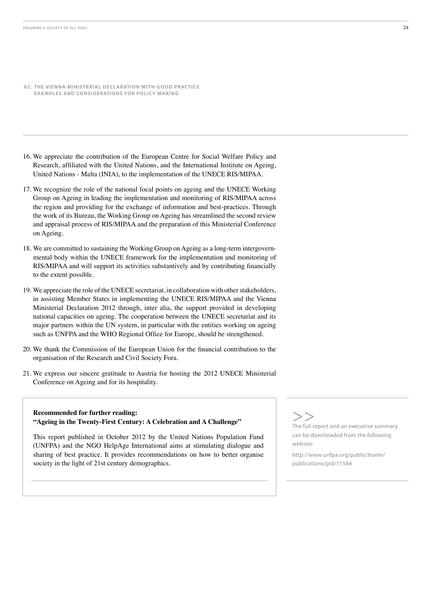- **02. THE VIENNA MINISTERIAL DECLARATION WITH GOOD PRACTICE EXAMPLES AND CONSIDERATIONS FOR POLICY MAKING**
- 16. We appreciate the contribution of the European Centre for Social Welfare Policy and Research, affiliated with the United Nations, and the International Institute on Ageing, United Nations - Malta (INIA), to the implementation of the UNECE RIS/MIPAA.
- 17. We recognize the role of the national focal points on ageing and the UNECE Working Group on Ageing in leading the implementation and monitoring of RIS/MIPAA across the region and providing for the exchange of information and best-practices. Through the work of its Bureau, the Working Group on Ageing has streamlined the second review and appraisal process of RIS/MIPAA and the preparation of this Ministerial Conference on Ageing.
- 18. We are committed to sustaining the Working Group on Ageing as a long-term intergovernmental body within the UNECE framework for the implementation and monitoring of RIS/MIPAA and will support its activities substantively and by contributing financially to the extent possible.
- 19. We appreciate the role of the UNECE secretariat, in collaboration with other stakeholders, in assisting Member States in implementing the UNECE RIS/MIPAA and the Vienna Ministerial Declaration 2012 through, inter alia, the support provided in developing national capacities on ageing. The cooperation between the UNECE secretariat and its major partners within the UN system, in particular with the entities working on ageing such as UNFPA and the WHO Regional Office for Europe, should be strengthened.
- 20. We thank the Commission of the European Union for the financial contribution to the organisation of the Research and Civil Society Fora.
- 21. We express our sincere gratitude to Austria for hosting the 2012 UNECE Ministerial Conference on Ageing and for its hospitality.

#### **Recommended for further reading: "Ageing in the Twenty-First Century: A Celebration and A Challenge"**

This report published in October 2012 by the United Nations Population Fund (UNFPA) and the NGO HelpAge International aims at stimulating dialogue and sharing of best practice. It provides recommendations on how to better organise society in the light of 21st century demographics.

S<br>The full report and an executive summary

can be downloaded from the following website:

[http://www.unfpa.org/public/home/](http://www.unfpa.org/public/home/publications/pid/11584) [publications/pid/11584](http://www.unfpa.org/public/home/publications/pid/11584)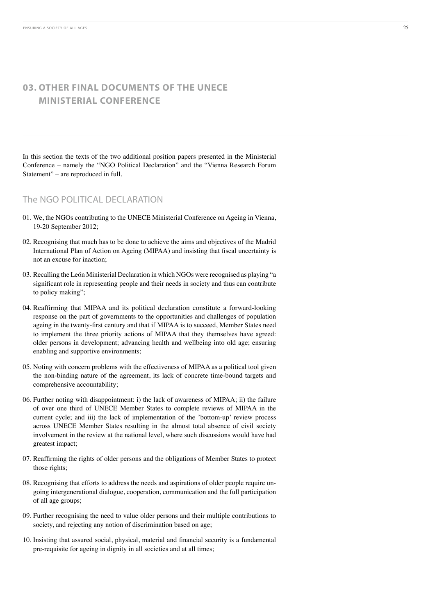In this section the texts of the two additional position papers presented in the Ministerial Conference – namely the "NGO Political Declaration" and the "Vienna Research Forum Statement" – are reproduced in full.

#### The NGO POLITICAL DECLARATION

- 01. We, the NGOs contributing to the UNECE Ministerial Conference on Ageing in Vienna, 19-20 September 2012;
- 02. Recognising that much has to be done to achieve the aims and objectives of the Madrid International Plan of Action on Ageing (MIPAA) and insisting that fiscal uncertainty is not an excuse for inaction;
- 03. Recalling the León Ministerial Declaration in which NGOs were recognised as playing "a significant role in representing people and their needs in society and thus can contribute to policy making";
- 04. Reaffirming that MIPAA and its political declaration constitute a forward-looking response on the part of governments to the opportunities and challenges of population ageing in the twenty-first century and that if MIPAA is to succeed, Member States need to implement the three priority actions of MIPAA that they themselves have agreed: older persons in development; advancing health and wellbeing into old age; ensuring enabling and supportive environments;
- 05. Noting with concern problems with the effectiveness of MIPAA as a political tool given the non-binding nature of the agreement, its lack of concrete time-bound targets and comprehensive accountability;
- 06. Further noting with disappointment: i) the lack of awareness of MIPAA; ii) the failure of over one third of UNECE Member States to complete reviews of MIPAA in the current cycle; and iii) the lack of implementation of the 'bottom-up' review process across UNECE Member States resulting in the almost total absence of civil society involvement in the review at the national level, where such discussions would have had greatest impact;
- 07. Reaffirming the rights of older persons and the obligations of Member States to protect those rights;
- 08. Recognising that efforts to address the needs and aspirations of older people require ongoing intergenerational dialogue, cooperation, communication and the full participation of all age groups;
- 09. Further recognising the need to value older persons and their multiple contributions to society, and rejecting any notion of discrimination based on age;
- 10. Insisting that assured social, physical, material and financial security is a fundamental pre-requisite for ageing in dignity in all societies and at all times;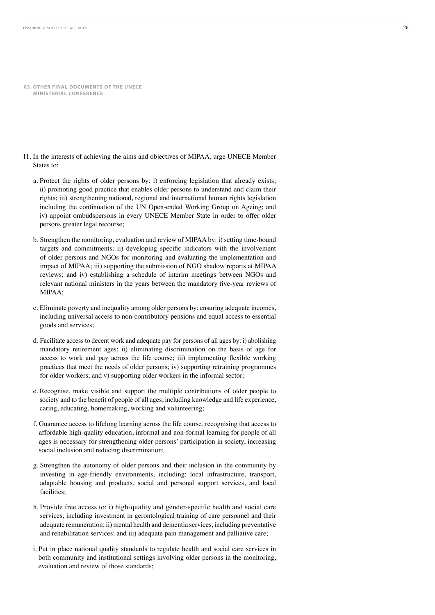- 11. In the interests of achieving the aims and objectives of MIPAA, urge UNECE Member States to:
	- a. Protect the rights of older persons by: i) enforcing legislation that already exists; ii) promoting good practice that enables older persons to understand and claim their rights; iii) strengthening national, regional and international human rights legislation including the continuation of the UN Open-ended Working Group on Ageing: and iv) appoint ombudspersons in every UNECE Member State in order to offer older persons greater legal recourse;
	- b. Strengthen the monitoring, evaluation and review of MIPAA by: i) setting time-bound targets and commitments; ii) developing specific indicators with the involvement of older persons and NGOs for monitoring and evaluating the implementation and impact of MIPAA; iii) supporting the submission of NGO shadow reports at MIPAA reviews; and iv) establishing a schedule of interim meetings between NGOs and relevant national ministers in the years between the mandatory five-year reviews of MIPAA;
	- c. Eliminate poverty and inequality among older persons by: ensuring adequate incomes, including universal access to non-contributory pensions and equal access to essential goods and services;
	- d. Facilitate access to decent work and adequate pay for persons of all ages by: i) abolishing mandatory retirement ages; ii) eliminating discrimination on the basis of age for access to work and pay across the life course; iii) implementing flexible working practices that meet the needs of older persons; iv) supporting retraining programmes for older workers; and v) supporting older workers in the informal sector;
	- e. Recognise, make visible and support the multiple contributions of older people to society and to the benefit of people of all ages, including knowledge and life experience, caring, educating, homemaking, working and volunteering;
	- f. Guarantee access to lifelong learning across the life course, recognising that access to affordable high-quality education, informal and non-formal learning for people of all ages is necessary for strengthening older persons' participation in society, increasing social inclusion and reducing discrimination;
	- g. Strengthen the autonomy of older persons and their inclusion in the community by investing in age-friendly environments, including: local infrastructure, transport, adaptable housing and products, social and personal support services, and local facilities;
	- h. Provide free access to: i) high-quality and gender-specific health and social care services, including investment in gerontological training of care personnel and their adequate remuneration; ii) mental health and dementia services, including preventative and rehabilitation services; and iii) adequate pain management and palliative care;
	- i. Put in place national quality standards to regulate health and social care services in both community and institutional settings involving older persons in the monitoring. evaluation and review of those standards: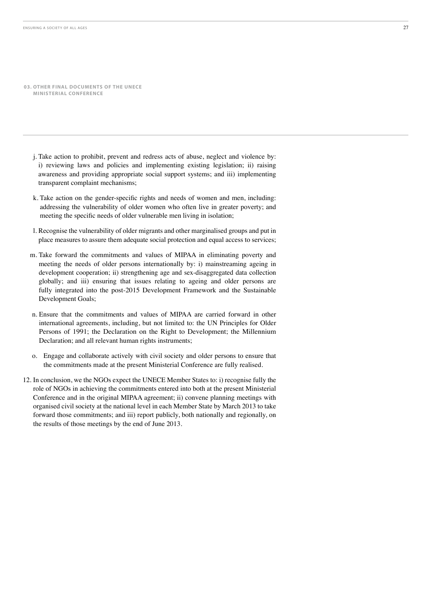- j. Take action to prohibit, prevent and redress acts of abuse, neglect and violence by: i) reviewing laws and policies and implementing existing legislation; ii) raising awareness and providing appropriate social support systems; and iii) implementing transparent complaint mechanisms;
- k. Take action on the gender-specific rights and needs of women and men, including: addressing the vulnerability of older women who often live in greater poverty; and meeting the specific needs of older vulnerable men living in isolation;
- 1. Recognise the vulnerability of older migrants and other marginalised groups and put in place measures to assure them adequate social protection and equal access to services;
- m. Take forward the commitments and values of MIPAA in eliminating poverty and meeting the needs of older persons internationally by: i) mainstreaming ageing in development cooperation; ii) strengthening age and sex-disaggregated data collection globally; and iii) ensuring that issues relating to ageing and older persons are fully integrated into the post-2015 Development Framework and the Sustainable Development Goals;
- n. Ensure that the commitments and values of MIPAA are carried forward in other international agreements, including, but not limited to: the UN Principles for Older Persons of 1991; the Declaration on the Right to Development; the Millennium Declaration; and all relevant human rights instruments;
- o. Engage and collaborate actively with civil society and older persons to ensure that the commitments made at the present Ministerial Conference are fully realised.
- 12. In conclusion, we the NGOs expect the UNECE Member States to: i) recognise fully the role of NGOs in achieving the commitments entered into both at the present Ministerial Conference and in the original MIPAA agreement; ii) convene planning meetings with organised civil society at the national level in each Member State by March 2013 to take forward those commitments; and iii) report publicly, both nationally and regionally, on the results of those meetings by the end of June 2013.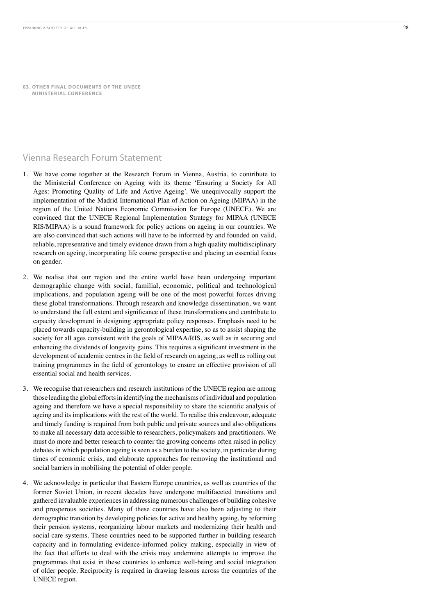### Vienna Research Forum Statement

- 1. We have come together at the Research Forum in Vienna, Austria, to contribute to the Ministerial Conference on Ageing with its theme 'Ensuring a Society for All Ages: Promoting Quality of Life and Active Ageing'. We unequivocally support the implementation of the Madrid International Plan of Action on Ageing (MIPAA) in the region of the United Nations Economic Commission for Europe (UNECE). We are convinced that the UNECE Regional Implementation Strategy for MIPAA (UNECE RIS/MIPAA) is a sound framework for policy actions on ageing in our countries. We are also convinced that such actions will have to be informed by and founded on valid, reliable, representative and timely evidence drawn from a high quality multidisciplinary research on ageing, incorporating life course perspective and placing an essential focus on gender.
- 2. We realise that our region and the entire world have been undergoing important demographic change with social, familial, economic, political and technological implications, and population ageing will be one of the most powerful forces driving these global transformations. Through research and knowledge dissemination, we want to understand the full extent and significance of these transformations and contribute to capacity development in designing appropriate policy responses. Emphasis need to be placed towards capacity-building in gerontological expertise, so as to assist shaping the society for all ages consistent with the goals of MIPAA/RIS, as well as in securing and enhancing the dividends of longevity gains. This requires a significant investment in the development of academic centres in the field of research on ageing, as well as rolling out training programmes in the field of gerontology to ensure an effective provision of all essential social and health services.
- 3. We recognise that researchers and research institutions of the UNECE region are among those leading the global efforts in identifying the mechanisms of individual and population ageing and therefore we have a special responsibility to share the scientific analysis of ageing and its implications with the rest of the world. To realise this endeavour, adequate and timely funding is required from both public and private sources and also obligations to make all necessary data accessible to researchers, policymakers and practitioners. We must do more and better research to counter the growing concerns often raised in policy debates in which population ageing is seen as a burden to the society, in particular during times of economic crisis, and elaborate approaches for removing the institutional and social barriers in mobilising the potential of older people.
- 4. We acknowledge in particular that Eastern Europe countries, as well as countries of the former Soviet Union, in recent decades have undergone multifaceted transitions and gathered invaluable experiences in addressing numerous challenges of building cohesive and prosperous societies. Many of these countries have also been adjusting to their demographic transition by developing policies for active and healthy ageing, by reforming their pension systems, reorganizing labour markets and modernizing their health and social care systems. These countries need to be supported further in building research capacity and in formulating evidence-informed policy making, especially in view of the fact that efforts to deal with the crisis may undermine attempts to improve the programmes that exist in these countries to enhance well-being and social integration of older people. Reciprocity is required in drawing lessons across the countries of the UNECE region.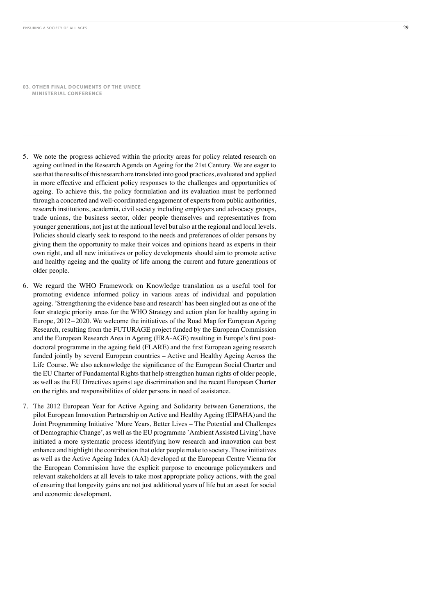- 5. We note the progress achieved within the priority areas for policy related research on ageing outlined in the Research Agenda on Ageing for the 21st Century. We are eager to see that the results of this research are translated into good practices, evaluated and applied in more effective and efficient policy responses to the challenges and opportunities of ageing. To achieve this, the policy formulation and its evaluation must be performed through a concerted and well-coordinated engagement of experts from public authorities, research institutions, academia, civil society including employers and advocacy groups, trade unions, the business sector, older people themselves and representatives from younger generations, not just at the national level but also at the regional and local levels. Policies should clearly seek to respond to the needs and preferences of older persons by giving them the opportunity to make their voices and opinions heard as experts in their own right, and all new initiatives or policy developments should aim to promote active and healthy ageing and the quality of life among the current and future generations of older people.
- 6. We regard the WHO Framework on Knowledge translation as a useful tool for promoting evidence informed policy in various areas of individual and population ageing. Strengthening the evidence base and research' has been singled out as one of the four strategic priority areas for the WHO Strategy and action plan for healthy ageing in Europe,  $2012-2020$ . We welcome the initiatives of the Road Map for European Ageing Research, resulting from the FUTURAGE project funded by the European Commission and the European Research Area in Ageing (ERA-AGE) resulting in Europe's first postdoctoral programme in the ageing field (FLARE) and the first European ageing research funded jointly by several European countries – Active and Healthy Ageing Across the Life Course. We also acknowledge the significance of the European Social Charter and the EU Charter of Fundamental Rights that help strengthen human rights of older people, as well as the EU Directives against age discrimination and the recent European Charter on the rights and responsibilities of older persons in need of assistance.
- 7. The 2012 European Year for Active Ageing and Solidarity between Generations, the pilot European Innovation Partnership on Active and Healthy Ageing (EIPAHA) and the Joint Programming Initiative 'More Years, Better Lives - The Potential and Challenges of Demographic Change', as well as the EU programme 'Ambient Assisted Living', have initiated a more systematic process identifying how research and innovation can best enhance and highlight the contribution that older people make to society. These initiatives as well as the Active Ageing Index (AAI) developed at the European Centre Vienna for the European Commission have the explicit purpose to encourage policymakers and relevant stakeholders at all levels to take most appropriate policy actions, with the goal of ensuring that longevity gains are not just additional years of life but an asset for social and economic development.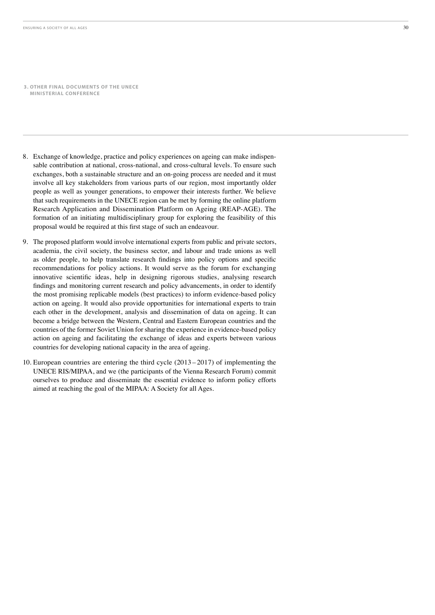- 8. Exchange of knowledge, practice and policy experiences on ageing can make indispensable contribution at national, cross-national, and cross-cultural levels. To ensure such exchanges, both a sustainable structure and an on-going process are needed and it must involve all key stakeholders from various parts of our region, most importantly older people as well as younger generations, to empower their interests further. We believe that such requirements in the UNECE region can be met by forming the online platform Research Application and Dissemination Platform on Ageing (REAP-AGE). The formation of an initiating multidisciplinary group for exploring the feasibility of this proposal would be required at this first stage of such an endeavour.
- 9. The proposed platform would involve international experts from public and private sectors, academia, the civil society, the business sector, and labour and trade unions as well as older people, to help translate research findings into policy options and specific recommendations for policy actions. It would serve as the forum for exchanging innovative scientific ideas, help in designing rigorous studies, analysing research findings and monitoring current research and policy advancements, in order to identify the most promising replicable models (best practices) to inform evidence-based policy action on ageing. It would also provide opportunities for international experts to train each other in the development, analysis and dissemination of data on ageing. It can become a bridge between the Western, Central and Eastern European countries and the countries of the former Soviet Union for sharing the experience in evidence-based policy action on ageing and facilitating the exchange of ideas and experts between various countries for developing national capacity in the area of ageing.
- 10. European countries are entering the third cycle  $(2013 2017)$  of implementing the UNECE RIS/MIPAA, and we (the participants of the Vienna Research Forum) commit ourselves to produce and disseminate the essential evidence to inform policy efforts aimed at reaching the goal of the MIPAA: A Society for all Ages.